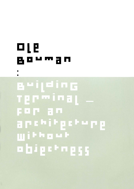# 0 L P 80 m m g n

B⊔ile|in <mark>c</mark> TEP OD 31 -For an apchitecturp mithowt a bipthopps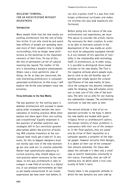# **BUILDING TERMINAL \_ FOR AN ARCHITECTURE WITHOUT OBJECTNESS**

### **Introduction**

Many people think that the new media are pushing architecture into the role of helpless victim. It can only stand by and watch how millions of people are spending more and more of their valuable time in digital surroundings; they no longer need architecture as the backdrop to the important moments of their lives. On top of this, the role of permanent carrier of cultural meaning has lapsed. The mother of the arts is becoming a marginal phenomenon. Others take a more optimistic view of things. As far as they are concerned, the only interesting architecture is computergenerated architecture. In this essay I will explore the fertile area between these two extremes.

#### **Three Attitudes to the New Media**

The key question for the coming years is whether architecture will succeed in developing other strategies besides the rationalization of existing practice. What other options are there apart from cost-cutting and streamlining? Equally important is the question of whether potential new strategies will in fact constitute genuine alternatives within the practice of building. Will creative innovation at the conceptual level really get a look-in? In any event, for this to happen designers must not merely take note of the new technology but also seek out its creative potential. Rather than automatically adjusting to current practice, they should adjust current practice where necessary to the new ideas. In this way architecture is able to conquer a new field of activity in a digital era. It can produce environments we have as yet barely encountered. It can create experiences we have never had before. It

can also organize itself in a way that challenges professional certitudes and makes the existing role play look hopelessly oldfashioned.

Before going into the nature of the new environments and experiences, we must first pause to consider the artistic mentality necessary for their creation. In order to be able to intervene actively in the development of the new media an architect must be adequately equipped mentally. A key element of this question of mentality is the relationship with technology itself. In architecture, as in other areas, it is possible to distinguish three broad attitudes to the new media. The first is the negative attitude where people stubbornly stick to the old familiar way of working and simply ignore the cultural significance of the new media. At best, since the computer has become indispensable for drawing, they will employ someone to take care of this side of the business. The whiz kid as alibi for not making any substantive changes. The architecture continues to look the same as ever.

The second attitude is that of an unabashed surrender to the hype in which the new media are lauded with quasireligious fervor as architecture's saviors. The design identity of these architects is synonymous with their use of the computer. In the final analysis, they are asked only by virtue of their reputation as a computer apostle, a preacher of the digital gospel. However versatile their designs, it is above all their use of the computer that attracts attention. For those who adopt this attitude it is then only a small step to restrict themselves voluntarily to this stance. Eventually, they can talk of nothing else. At which point a true community of faith is born.

Finally there is the pragmatic attitude in which the two domains are seen side by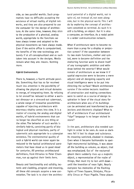Bouman: Building Terminal \_For an Architecture without Objectness

side, as two parallel worlds. Such pragmatists have no difficulty accepting the existence of virtual reality, of digital networks, and they are also prepared to use the computer for the design of architecture. At the same time, however, they stick to the production of a physical, analog world, appropriate to the functions we have always known and adapted to the physical movements we have always made. Even if the entire office is computerized, the benefits of the new technology are barely if at all conceptualized and as such taken into account in the designs. Media remain what they are: means. Nothing more.

## **Hybrid Environments**

There is, however, a fourth attitude possible. Something that has so far received much less attention is the possibility of allowing the physical and virtual domains to merge, of integrating them. By refusing to let oneself be reduced to either a wornout dinosaur or a stressed-out cybernaut, a whole range of innovative possibilities capable of injecting architecture with enormous vitality comes into view. It is a matter of crossing the analog and digital worlds, of hybrid environments that can no longer be classified as one thing or the other. The behavior of such worlds is similarly hybrid, consisting partly of biological and physical reactions, partly of cybernetic acts appropriate to a cyborgian existence. The environmental quality of such a hybrid world can never again be reduced to the typical architectural parameters that have stood us in good stead for centuries. All previous architectural definitions, from Vitruvius to Peter Eisenman, run up against their limits here.

Beauty and functionality and solidity, tectonic and cladding, program and meaning, all these old concepts acquire a new connotation. The task is to chart the architec-

tural potential of a digital world, not in spite of, not instead of, not even alongside, but in the physical world. This I will do by exploring the concept of architecture conceived as terminal. As such it is still a building, an object. But it is also

a computer, an interface. As a nodal point in a wider communication network.

What if architecture were to become no more than a prop for a display or projection screen? If the separation between its two main functions, shelter and symbol, were to become definitive and the sheltering function were to divest itself of any iconographic ambition and withdraw behind the exterior? What would remain of architecture as we know it if spatial expression were to become a mere adjunct and all designing capacity and visual intelligence were to be put into directing the surface? Would architecture survive if the entire tectonic tradition of construction and making connections were to vanish as a source of design inspiration in favor of the visual story for architecture when any of its buildings can be animated and transformed by projections and electronic displays? What is left of architecture if our architectural "sign" language is no longer etched in stone?

In the past, architecture also needed sunlight in order to be seen. As soon as darkness fell it lost its shape and substance. Its meaning vanished, cloaked in shadows. Even when it became fashionable to spotlight monumental buildings, it was above all the building as volume, as object, that was emphasized. Out of the nocturnal gloom there suddenly rises up a majestic object, a representative of the realm of things, that must try to last until dawn until the invention of neon light. Nearly everyone has memories of the flashing lights of Times Square, Shinjuko, Piccadilly Circus or Place Pigalle. These places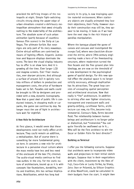provided the defining images of the metropolis at night. Simple light-switching circuits strung along the upper edge of urban elevations created a deliriously metropolitan atmosphere that owed virtually nothing to the materiality of the architecture. The absolute acme of such urban animation (partly because of countless famous film scenes) is the Strip at Las Vegas. The ultimate funfair. But neon signs are only part of its story nowadays. Entire virtual edifices are contrived by means of lighting effects. Gigantic Jumbotron and Napcom displays dominate the scene. The best the visual display industry has to offer is on show here. And it is growing all the time. Ever larger LCD and magma screens. Ever finer resolution, ever sharper pictures. And although a surface of around 2x3 m quickly runs into millions of dollars in production and management costs, the price of hardware looks set to fall. Facades and walls could be brought to life by designers and provided with a new, dynamic iconography. Now that a good deal of public life is conducted indoors, in shopping malls or car parks, the game can continue by day. No longer must the use of light in architecture wait for nightfall.

## **A New Role for Architecture**

At first glance, it would seem that these developments need not really affect architecture. They could remain an addition, a revitalization. But of course there is something far more fundamental going on here. It concerns a new role for architecture in a pervasive visual culture where the mass media have less and less need of the enclosure of the box (TV, cinema). The audio-visual media continue to find new outlets in the city. For the static nature of architecture, bound up as it is with concepts like foundations, durability, inertia and tradition, this has serious implications. Mobilization, which has long had

society in its grip, is now impinging upon the material environment. When stationary objects are visually animated they lose their objectness, their fixity. However sturdy their construction may still be, they appear to be moving. It looks as if we have here the next step in the rich history of parallax manipulation.

Where the baroque played the game of convex and concave and investigated the *trompe l'œil*, where neo-classicism discovered the mirror, where 19th-century engineering made a hero of the freestanding structure, where modernism turned the free facade and the free ground plan into ideology, we are now on the threshold of a new development in the psychological game of spatial design. For this new spatial effect the physical space is no longer strictly necessary, although duplication has its attractions. The great leap consists of uncoupling spatial perception and architectural structure. Now that really is "lite" architecture. In addition to striving after ever lighter structures, transparent and translucent walls and gravity-defying, curvilinear forms, architecture can now, via film, become truly immaterial. Contours fade, forms become fluid. The relationship between human beings and architecture is no longer polar or dialectical, but "immersive." You can quite literally be swallowed up in it... Who will be the first architect to win the Oscar or Golden Palm for best director?

## **Building as Terminal**

I offer you the following scenario. Suppose that architects were to incorporate video walls and projections in their initial sketch designs. Suppose that in their negotiations with the client, investment by the likes of Fuji, Coca-Cola or Lucky Strike, by Sharp, Zeiss Ikon or Polaroid, by Silicon Graphics or Alias WaveFront, could be calculated in their budgets from the start. It might then